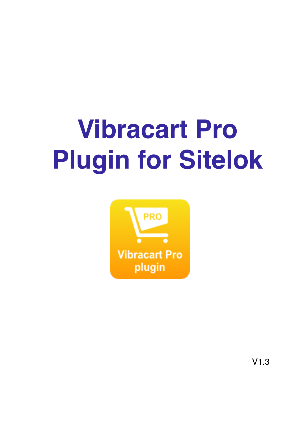# **Vibracart Pro Plugin for Sitelok**



V1.3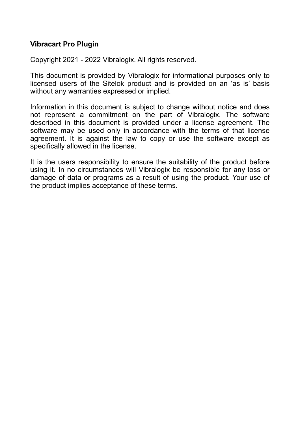#### **Vibracart Pro Plugin**

Copyright 2021 - 2022 Vibralogix. All rights reserved.

This document is provided by Vibralogix for informational purposes only to licensed users of the Sitelok product and is provided on an 'as is' basis without any warranties expressed or implied.

Information in this document is subject to change without notice and does not represent a commitment on the part of Vibralogix. The software described in this document is provided under a license agreement. The software may be used only in accordance with the terms of that license agreement. It is against the law to copy or use the software except as specifically allowed in the license.

It is the users responsibility to ensure the suitability of the product before using it. In no circumstances will Vibralogix be responsible for any loss or damage of data or programs as a result of using the product. Your use of the product implies acceptance of these terms.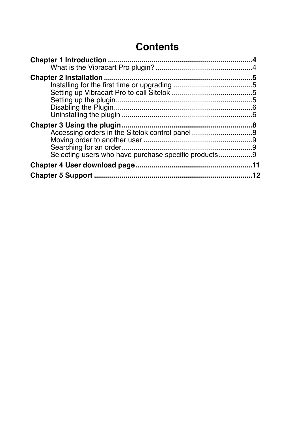# **Contents**

| Selecting users who have purchase specific products9 |    |
|------------------------------------------------------|----|
|                                                      |    |
|                                                      | 12 |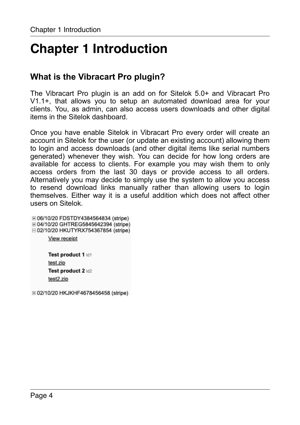# <span id="page-3-0"></span>**Chapter 1 Introduction**

# <span id="page-3-1"></span>**What is the Vibracart Pro plugin?**

The Vibracart Pro plugin is an add on for Sitelok 5.0+ and Vibracart Pro V1.1+, that allows you to setup an automated download area for your clients. You, as admin, can also access users downloads and other digital items in the Sitelok dashboard.

Once you have enable Sitelok in Vibracart Pro every order will create an account in Sitelok for the user (or update an existing account) allowing them to login and access downloads (and other digital items like serial numbers generated) whenever they wish. You can decide for how long orders are available for access to clients. For example you may wish them to only access orders from the last 30 days or provide access to all orders. Alternatively you may decide to simply use the system to allow you access to resend download links manually rather than allowing users to login themselves. Either way it is a useful addition which does not affect other users on Sitelok.

⊞ 06/10/20 FDSTDY4384564834 (stripe) ⊞ 04/10/20 GHTREG5845642394 (stripe) □ 02/10/20 HKUTYRX754367854 (stripe) View receipt Test product 1 id1 test.zip

> Test product 2 id2 test2.zip

⊞ 02/10/20 HKJKHF4678456458 (stripe)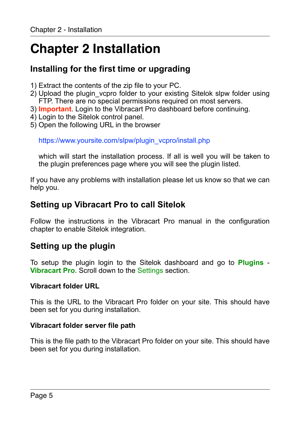# <span id="page-4-0"></span>**Chapter 2 Installation**

# <span id="page-4-1"></span>**Installing for the first time or upgrading**

- 1) Extract the contents of the zip file to your PC.
- 2) Upload the plugin\_vcpro folder to your existing Sitelok slpw folder using FTP. There are no special permissions required on most servers.
- 3) **Important**. Login to the Vibracart Pro dashboard before continuing.
- 4) Login to the Sitelok control panel.
- 5) Open the following URL in the browser

https://www.yoursite.com/slpw/plugin\_vcpro/install.php

which will start the installation process. If all is well you will be taken to the plugin preferences page where you will see the plugin listed.

If you have any problems with installation please let us know so that we can help you.

### <span id="page-4-2"></span>**Setting up Vibracart Pro to call Sitelok**

Follow the instructions in the Vibracart Pro manual in the configuration chapter to enable Sitelok integration.

### <span id="page-4-3"></span>**Setting up the plugin**

To setup the plugin login to the Sitelok dashboard and go to **Plugins** - **Vibracart Pro**. Scroll down to the Settings section.

#### **Vibracart folder URL**

This is the URL to the Vibracart Pro folder on your site. This should have been set for you during installation.

#### **Vibracart folder server file path**

This is the file path to the Vibracart Pro folder on your site. This should have been set for you during installation.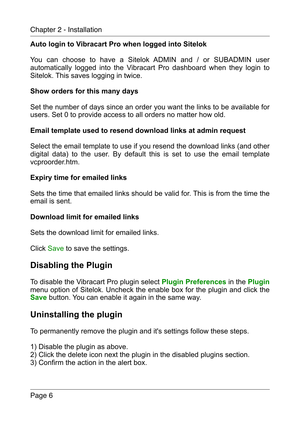#### **Auto login to Vibracart Pro when logged into Sitelok**

You can choose to have a Sitelok ADMIN and / or SUBADMIN user automatically logged into the Vibracart Pro dashboard when they login to Sitelok. This saves logging in twice.

#### **Show orders for this many days**

Set the number of days since an order you want the links to be available for users. Set 0 to provide access to all orders no matter how old.

#### **Email template used to resend download links at admin request**

Select the email template to use if you resend the download links (and other digital data) to the user. By default this is set to use the email template vcproorder.htm.

#### **Expiry time for emailed links**

Sets the time that emailed links should be valid for. This is from the time the email is sent.

#### **Download limit for emailed links**

Sets the download limit for emailed links.

Click Save to save the settings.

### <span id="page-5-0"></span>**Disabling the Plugin**

To disable the Vibracart Pro plugin select **Plugin Preferences** in the **Plugin** menu option of Sitelok. Uncheck the enable box for the plugin and click the **Save** button. You can enable it again in the same way.

## <span id="page-5-1"></span>**Uninstalling the plugin**

To permanently remove the plugin and it's settings follow these steps.

- 1) Disable the plugin as above.
- 2) Click the delete icon next the plugin in the disabled plugins section.
- 3) Confirm the action in the alert box.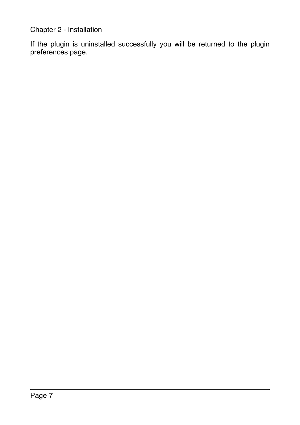If the plugin is uninstalled successfully you will be returned to the plugin preferences page.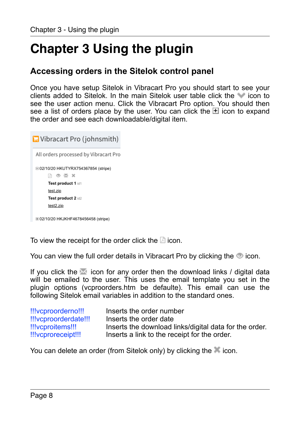# <span id="page-7-0"></span>**Chapter 3 Using the plugin**

# <span id="page-7-1"></span>**Accessing orders in the Sitelok control panel**

Once you have setup Sitelok in Vibracart Pro you should start to see your clients added to Sitelok. In the main Sitelok user table click the vicon to see the user action menu. Click the Vibracart Pro option. You should then see a list of orders place by the user. You can click the  $\mathbb H$  icon to expand the order and see each downloadable/digital item.

```
Vibracart Pro (johnsmith)
All orders processed by Vibracart Pro
□ 02/10/20 HKUTYRX754367854 (stripe)
     A ◎ 图 ×
     Test product 1 id1
     test.zip
     Test product 2 id2
     test2.zip
⊞ 02/10/20 HKJKHF4678456458 (stripe)
```
To view the receipt for the order click the  $\mathbb B$  icon.

You can view the full order details in Vibracart Pro by clicking the  $\odot$  icon.

If you click the  $\mathbb{M}$  icon for any order then the download links / digital data will be emailed to the user. This uses the email template you set in the plugin options (vcproorders.htm be defaulte). This email can use the following Sitelok email variables in addition to the standard ones.

| !!!vcproorderno!!!   | Inserts the order number                               |
|----------------------|--------------------------------------------------------|
| !!!vcproorderdate!!! | Inserts the order date                                 |
| !!!vcproitems!!!     | Inserts the download links/digital data for the order. |
| !!!vcproreceipt!!!   | Inserts a link to the receipt for the order.           |

You can delete an order (from Sitelok only) by clicking the icon.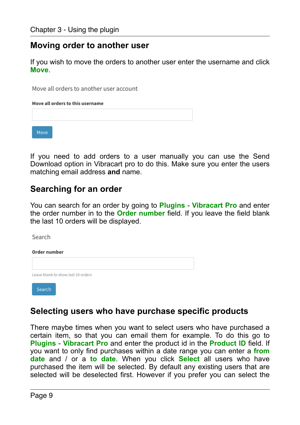### <span id="page-8-0"></span>**Moving order to another user**

If you wish to move the orders to another user enter the username and click **Move**.

Move all orders to another user account

Move all orders to this username

Move

If you need to add orders to a user manually you can use the Send Download option in Vibracart pro to do this. Make sure you enter the users matching email address **and** name.

### <span id="page-8-1"></span>**Searching for an order**

You can search for an order by going to **Plugins** - **Vibracart Pro** and enter the order number in to the **Order number** field. If you leave the field blank the last 10 orders will be displayed.

Search

Order number

Leave blank to show last 10 orders



# <span id="page-8-2"></span>**Selecting users who have purchase specific products**

There maybe times when you want to select users who have purchased a certain item, so that you can email them for example. To do this go to **Plugins** - **Vibracart Pro** and enter the product id in the **Product ID** field. If you want to only find purchases within a date range you can enter a **from date** and / or a **to date**. When you click **Select** all users who have purchased the item will be selected. By default any existing users that are selected will be deselected first. However if you prefer you can select the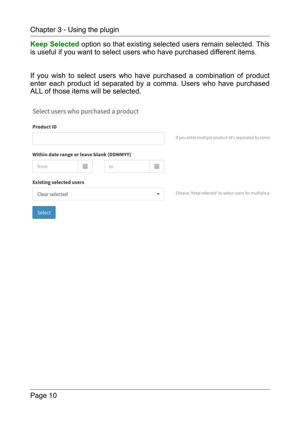#### Chapter 3 - Using the plugin

**Keep Selected** option so that existing selected users remain selected. This is useful if you want to select users who have purchased different items.

If you wish to select users who have purchased a combination of product enter each product id separated by a comma. Users who have purchased ALL of those items will be selected.

|                                |                                           | Select users who purchased a product |                          |                                                       |
|--------------------------------|-------------------------------------------|--------------------------------------|--------------------------|-------------------------------------------------------|
| <b>Product ID</b>              |                                           |                                      |                          |                                                       |
|                                |                                           |                                      |                          | If you enter multiple product id's separated by comn  |
|                                | Within date range or leave blank (DDMMYY) |                                      |                          |                                                       |
| from                           | 萹                                         | to                                   | 萹                        |                                                       |
| <b>Existing selected users</b> |                                           |                                      |                          |                                                       |
| Clear selected                 |                                           |                                      | $\overline{\phantom{a}}$ | Choose 'Keep selected' to select users for multiple p |
| Select                         |                                           |                                      |                          |                                                       |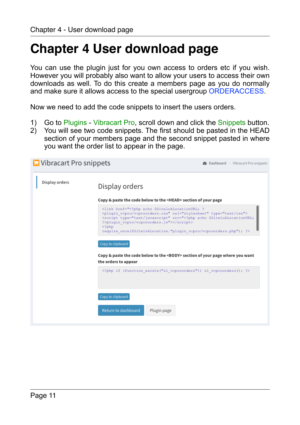# <span id="page-10-0"></span>**Chapter 4 User download page**

You can use the plugin just for you own access to orders etc if you wish. However you will probably also want to allow your users to access their own downloads as well. To do this create a members page as you do normally and make sure it allows access to the special usergroup ORDERACCESS.

Now we need to add the code snippets to insert the users orders.

- 1) Go to Plugins Vibracart Pro, scroll down and click the Snippets button.
- 2) You will see two code snippets. The first should be pasted in the HEAD section of your members page and the second snippet pasted in where you want the order list to appear in the page.

| Display orders | Display orders                                                                                                                                                                                                                                                                                                                                     |
|----------------|----------------------------------------------------------------------------------------------------------------------------------------------------------------------------------------------------------------------------------------------------------------------------------------------------------------------------------------------------|
|                | Copy & paste the code below to the <head> section of your page</head>                                                                                                                                                                                                                                                                              |
|                | <link href="&lt;?php echo \$SitelokLocationURL; ?&lt;br&gt;&gt;plugin vcpro/vcproorders.css" rel="stylesheet" type="text/css"/><br><script src="&lt;?php echo \$SitelokLocationURL;&lt;br&gt;?&gt;plugin vcpro/vcproorders.js" type="text/javascript"></script><br>$<$ ?php<br>require once (\$SitelokLocation."plugin vcpro/vcproorders.php"); ?> |
|                | Copy to clipboard<br>Copy & paste the code below to the <body> section of your page where you want<br/>the orders to appear</body>                                                                                                                                                                                                                 |
|                | php if (function exists("sl vcproorders")) sl vcproorders(); ?                                                                                                                                                                                                                                                                                     |
|                | Copy to clipboard                                                                                                                                                                                                                                                                                                                                  |